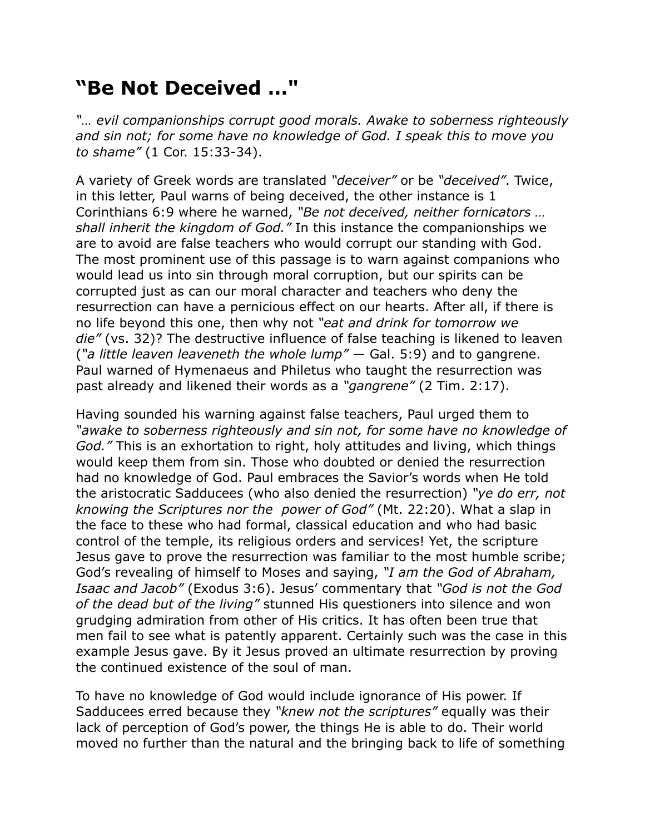## **"Be Not Deceived …"**

*"… evil companionships corrupt good morals. Awake to soberness righteously and sin not; for some have no knowledge of God. I speak this to move you to shame"* (1 Cor. 15:33-34).

A variety of Greek words are translated *"deceiver"* or be *"deceived"*. Twice, in this letter, Paul warns of being deceived, the other instance is 1 Corinthians 6:9 where he warned, *"Be not deceived, neither fornicators … shall inherit the kingdom of God."* In this instance the companionships we are to avoid are false teachers who would corrupt our standing with God. The most prominent use of this passage is to warn against companions who would lead us into sin through moral corruption, but our spirits can be corrupted just as can our moral character and teachers who deny the resurrection can have a pernicious effect on our hearts. After all, if there is no life beyond this one, then why not *"eat and drink for tomorrow we die"* (vs. 32)? The destructive influence of false teaching is likened to leaven (*"a little leaven leaveneth the whole lump"* — Gal. 5:9) and to gangrene. Paul warned of Hymenaeus and Philetus who taught the resurrection was past already and likened their words as a *"gangrene"* (2 Tim. 2:17).

Having sounded his warning against false teachers, Paul urged them to *"awake to soberness righteously and sin not, for some have no knowledge of God."* This is an exhortation to right, holy attitudes and living, which things would keep them from sin. Those who doubted or denied the resurrection had no knowledge of God. Paul embraces the Savior's words when He told the aristocratic Sadducees (who also denied the resurrection) *"ye do err, not knowing the Scriptures nor the power of God"* (Mt. 22:20). What a slap in the face to these who had formal, classical education and who had basic control of the temple, its religious orders and services! Yet, the scripture Jesus gave to prove the resurrection was familiar to the most humble scribe; God's revealing of himself to Moses and saying, *"I am the God of Abraham, Isaac and Jacob"* (Exodus 3:6). Jesus' commentary that *"God is not the God of the dead but of the living"* stunned His questioners into silence and won grudging admiration from other of His critics. It has often been true that men fail to see what is patently apparent. Certainly such was the case in this example Jesus gave. By it Jesus proved an ultimate resurrection by proving the continued existence of the soul of man.

To have no knowledge of God would include ignorance of His power. If Sadducees erred because they *"knew not the scriptures"* equally was their lack of perception of God's power, the things He is able to do. Their world moved no further than the natural and the bringing back to life of something